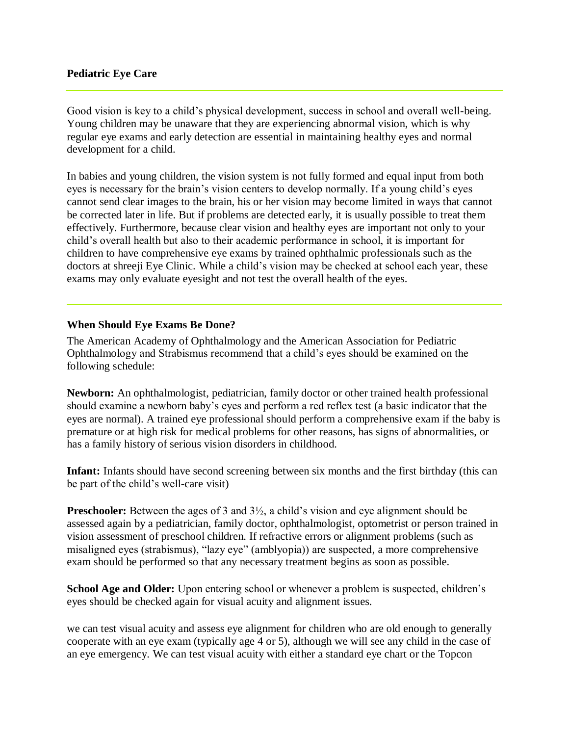#### **Pediatric Eye Care**

Good vision is key to a child's physical development, success in school and overall well-being. Young children may be unaware that they are experiencing abnormal vision, which is why regular eye exams and early detection are essential in maintaining healthy eyes and normal development for a child.

In babies and young children, the vision system is not fully formed and equal input from both eyes is necessary for the brain's vision centers to develop normally. If a young child's eyes cannot send clear images to the brain, his or her vision may become limited in ways that cannot be corrected later in life. But if problems are detected early, it is usually possible to treat them effectively. Furthermore, because clear vision and healthy eyes are important not only to your child's overall health but also to their academic performance in school, it is important for children to have comprehensive eye exams by trained ophthalmic professionals such as the doctors at shreeji Eye Clinic. While a child's vision may be checked at school each year, these exams may only evaluate eyesight and not test the overall health of the eyes.

#### **When Should Eye Exams Be Done?**

The American Academy of Ophthalmology and the American Association for Pediatric Ophthalmology and Strabismus recommend that a child's eyes should be examined on the following schedule:

**Newborn:** An ophthalmologist, pediatrician, family doctor or other trained health professional should examine a newborn baby's eyes and perform a red reflex test (a basic indicator that the eyes are normal). A trained eye professional should perform a comprehensive exam if the baby is premature or at high risk for medical problems for other reasons, has signs of abnormalities, or has a family history of serious vision disorders in childhood.

**Infant:** Infants should have second screening between six months and the first birthday (this can be part of the child's well-care visit)

**Preschooler:** Between the ages of 3 and  $3\frac{1}{2}$ , a child's vision and eye alignment should be assessed again by a pediatrician, family doctor, ophthalmologist, optometrist or person trained in vision assessment of preschool children. If refractive errors or alignment problems (such as misaligned eyes (strabismus), "lazy eye" (amblyopia)) are suspected, a more comprehensive exam should be performed so that any necessary treatment begins as soon as possible.

**School Age and Older:** Upon entering school or whenever a problem is suspected, children's eyes should be checked again for visual acuity and alignment issues.

we can test visual acuity and assess eye alignment for children who are old enough to generally cooperate with an eye exam (typically age 4 or 5), although we will see any child in the case of an eye emergency. We can test visual acuity with either a standard eye chart or the Topcon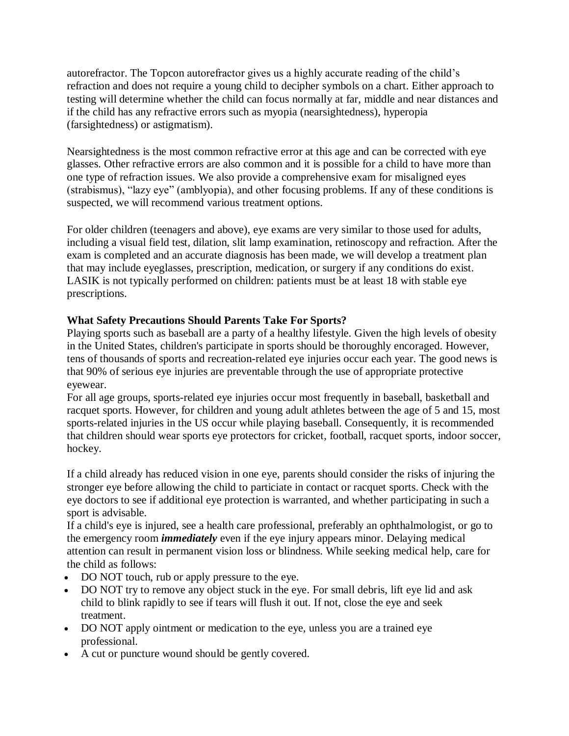autorefractor. The Topcon autorefractor gives us a highly accurate reading of the child's refraction and does not require a young child to decipher symbols on a chart. Either approach to testing will determine whether the child can focus normally at far, middle and near distances and if the child has any refractive errors such as myopia (nearsightedness), hyperopia (farsightedness) or astigmatism).

Nearsightedness is the most common refractive error at this age and can be corrected with eye glasses. Other refractive errors are also common and it is possible for a child to have more than one type of refraction issues. We also provide a comprehensive exam for misaligned eyes (strabismus), "lazy eye" (amblyopia), and other focusing problems. If any of these conditions is suspected, we will recommend various treatment options.

For older children (teenagers and above), eye exams are very similar to those used for adults, including a visual field test, dilation, slit lamp examination, retinoscopy and refraction. After the exam is completed and an accurate diagnosis has been made, we will develop a treatment plan that may include eyeglasses, prescription, medication, or surgery if any conditions do exist. LASIK is not typically performed on children: patients must be at least 18 with stable eye prescriptions.

# **What Safety Precautions Should Parents Take For Sports?**

Playing sports such as baseball are a party of a healthy lifestyle. Given the high levels of obesity in the United States, children's participate in sports should be thoroughly encoraged. However, tens of thousands of sports and recreation-related eye injuries occur each year. The good news is that 90% of serious eye injuries are preventable through the use of appropriate protective eyewear.

For all age groups, sports-related eye injuries occur most frequently in baseball, basketball and racquet sports. However, for children and young adult athletes between the age of 5 and 15, most sports-related injuries in the US occur while playing baseball. Consequently, it is recommended that children should wear sports eye protectors for cricket, football, racquet sports, indoor soccer, hockey.

If a child already has reduced vision in one eye, parents should consider the risks of injuring the stronger eye before allowing the child to particiate in contact or racquet sports. Check with the eye doctors to see if additional eye protection is warranted, and whether participating in such a sport is advisable.

If a child's eye is injured, see a health care professional, preferably an ophthalmologist, or go to the emergency room *immediately* even if the eye injury appears minor. Delaying medical attention can result in permanent vision loss or blindness. While seeking medical help, care for the child as follows:

- DO NOT touch, rub or apply pressure to the eye.
- DO NOT try to remove any object stuck in the eye. For small debris, lift eye lid and ask child to blink rapidly to see if tears will flush it out. If not, close the eye and seek treatment.
- DO NOT apply ointment or medication to the eye, unless you are a trained eye professional.
- A cut or puncture wound should be gently covered.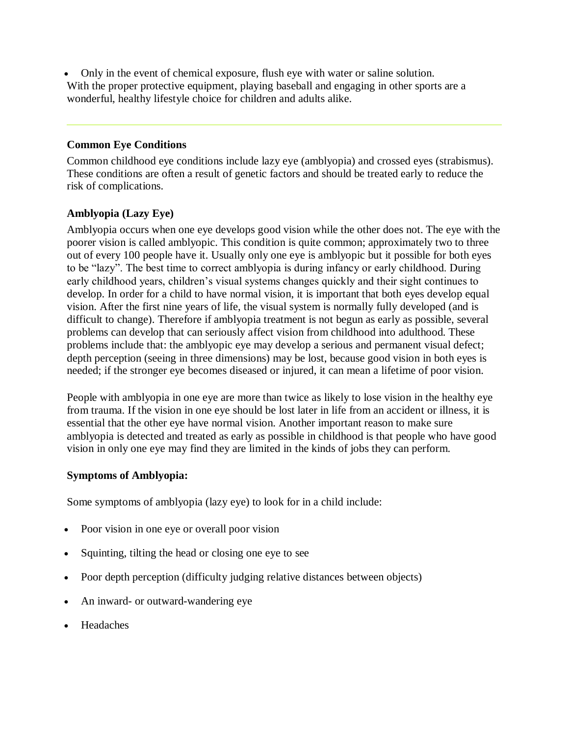Only in the event of chemical exposure, flush eye with water or saline solution. With the proper protective equipment, playing baseball and engaging in other sports are a wonderful, healthy lifestyle choice for children and adults alike.

#### **Common Eye Conditions**

Common childhood eye conditions include lazy eye (amblyopia) and crossed eyes (strabismus). These conditions are often a result of genetic factors and should be treated early to reduce the risk of complications.

### **Amblyopia (Lazy Eye)**

Amblyopia occurs when one eye develops good vision while the other does not. The eye with the poorer vision is called amblyopic. This condition is quite common; approximately two to three out of every 100 people have it. Usually only one eye is amblyopic but it possible for both eyes to be "lazy". The best time to correct amblyopia is during infancy or early childhood. During early childhood years, children's visual systems changes quickly and their sight continues to develop. In order for a child to have normal vision, it is important that both eyes develop equal vision. After the first nine years of life, the visual system is normally fully developed (and is difficult to change). Therefore if amblyopia treatment is not begun as early as possible, several problems can develop that can seriously affect vision from childhood into adulthood. These problems include that: the amblyopic eye may develop a serious and permanent visual defect; depth perception (seeing in three dimensions) may be lost, because good vision in both eyes is needed; if the stronger eye becomes diseased or injured, it can mean a lifetime of poor vision.

People with amblyopia in one eye are more than twice as likely to lose vision in the healthy eye from trauma. If the vision in one eye should be lost later in life from an accident or illness, it is essential that the other eye have normal vision. Another important reason to make sure amblyopia is detected and treated as early as possible in childhood is that people who have good vision in only one eye may find they are limited in the kinds of jobs they can perform.

### **Symptoms of Amblyopia:**

Some symptoms of amblyopia (lazy eye) to look for in a child include:

- Poor vision in one eye or overall poor vision
- Squinting, tilting the head or closing one eye to see
- Poor depth perception (difficulty judging relative distances between objects)
- An inward- or outward-wandering eye
- Headaches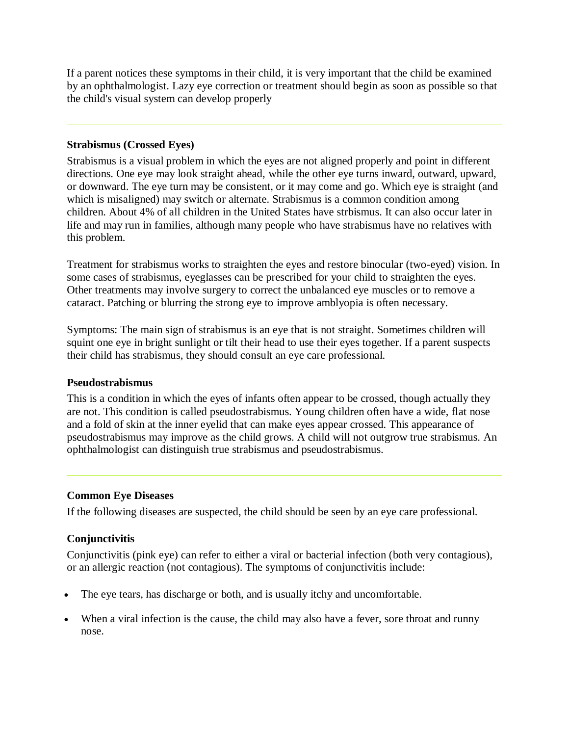If a parent notices these symptoms in their child, it is very important that the child be examined by an ophthalmologist. Lazy eye correction or treatment should begin as soon as possible so that the child's visual system can develop properly

#### **Strabismus (Crossed Eyes)**

Strabismus is a visual problem in which the eyes are not aligned properly and point in different directions. One eye may look straight ahead, while the other eye turns inward, outward, upward, or downward. The eye turn may be consistent, or it may come and go. Which eye is straight (and which is misaligned) may switch or alternate. Strabismus is a common condition among children. About 4% of all children in the United States have strbismus. It can also occur later in life and may run in families, although many people who have strabismus have no relatives with this problem.

Treatment for strabismus works to straighten the eyes and restore binocular (two-eyed) vision. In some cases of strabismus, eyeglasses can be prescribed for your child to straighten the eyes. Other treatments may involve surgery to correct the unbalanced eye muscles or to remove a cataract. Patching or blurring the strong eye to improve amblyopia is often necessary.

Symptoms: The main sign of strabismus is an eye that is not straight. Sometimes children will squint one eye in bright sunlight or tilt their head to use their eyes together. If a parent suspects their child has strabismus, they should consult an eye care professional.

### **Pseudostrabismus**

This is a condition in which the eyes of infants often appear to be crossed, though actually they are not. This condition is called pseudostrabismus. Young children often have a wide, flat nose and a fold of skin at the inner eyelid that can make eyes appear crossed. This appearance of pseudostrabismus may improve as the child grows. A child will not outgrow true strabismus. An ophthalmologist can distinguish true strabismus and pseudostrabismus.

### **Common Eye Diseases**

If the following diseases are suspected, the child should be seen by an eye care professional.

### **Conjunctivitis**

Conjunctivitis (pink eye) can refer to either a viral or bacterial infection (both very contagious), or an allergic reaction (not contagious). The symptoms of conjunctivitis include:

- The eye tears, has discharge or both, and is usually itchy and uncomfortable.
- When a viral infection is the cause, the child may also have a fever, sore throat and runny nose.